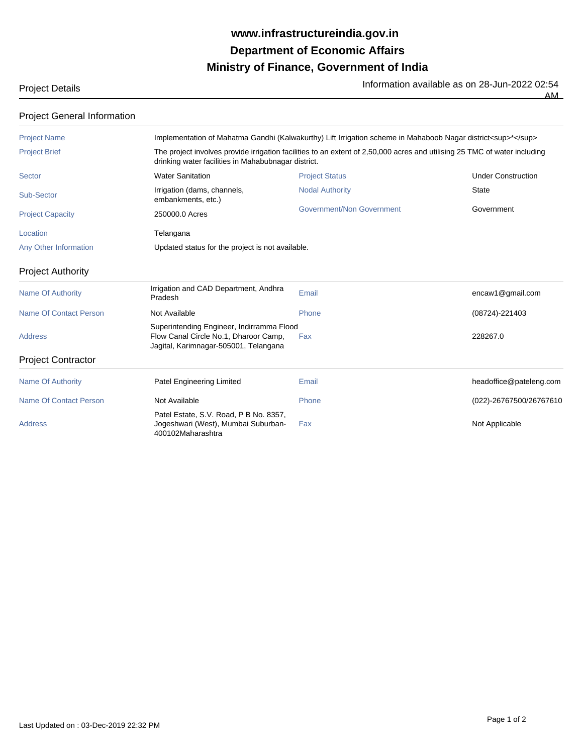## **Ministry of Finance, Government of India Department of Economic Affairs www.infrastructureindia.gov.in**

Project Details **Information available as on 28-Jun-2022 02:54**<br>The Information available as on 28-Jun-2022 02:54

AM

| <b>Project General Information</b> |                                                                                                                                                                                  |                           |                           |  |
|------------------------------------|----------------------------------------------------------------------------------------------------------------------------------------------------------------------------------|---------------------------|---------------------------|--|
| <b>Project Name</b>                | Implementation of Mahatma Gandhi (Kalwakurthy) Lift Irrigation scheme in Mahaboob Nagar district <sup>*</sup>                                                                    |                           |                           |  |
| <b>Project Brief</b>               | The project involves provide irrigation facilities to an extent of 2,50,000 acres and utilising 25 TMC of water including<br>drinking water facilities in Mahabubnagar district. |                           |                           |  |
| <b>Sector</b>                      | <b>Water Sanitation</b>                                                                                                                                                          | <b>Project Status</b>     | <b>Under Construction</b> |  |
| Sub-Sector                         | Irrigation (dams, channels,<br>embankments, etc.)                                                                                                                                | <b>Nodal Authority</b>    | <b>State</b>              |  |
| <b>Project Capacity</b>            | 250000.0 Acres                                                                                                                                                                   | Government/Non Government | Government                |  |
| Location                           | Telangana                                                                                                                                                                        |                           |                           |  |
| Any Other Information              | Updated status for the project is not available.                                                                                                                                 |                           |                           |  |
| <b>Project Authority</b>           |                                                                                                                                                                                  |                           |                           |  |
| <b>Name Of Authority</b>           | Irrigation and CAD Department, Andhra<br>Pradesh                                                                                                                                 | Email                     | encaw1@gmail.com          |  |
| <b>Name Of Contact Person</b>      | Not Available                                                                                                                                                                    | Phone                     | (08724)-221403            |  |
| <b>Address</b>                     | Superintending Engineer, Indirramma Flood<br>Flow Canal Circle No.1, Dharoor Camp,<br>Jagital, Karimnagar-505001, Telangana                                                      | Fax                       | 228267.0                  |  |
| <b>Project Contractor</b>          |                                                                                                                                                                                  |                           |                           |  |
| <b>Name Of Authority</b>           | <b>Patel Engineering Limited</b>                                                                                                                                                 | Email                     | headoffice@pateleng.com   |  |
| <b>Name Of Contact Person</b>      | Not Available                                                                                                                                                                    | Phone                     | (022)-26767500/26767610   |  |
| <b>Address</b>                     | Patel Estate, S.V. Road, P B No. 8357,<br>Jogeshwari (West), Mumbai Suburban-<br>400102Maharashtra                                                                               | Fax                       | Not Applicable            |  |